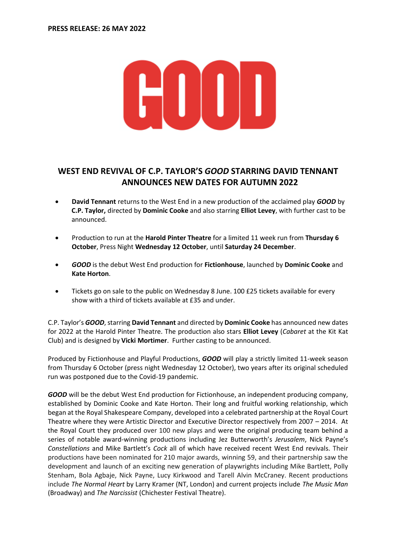

# **WEST END REVIVAL OF C.P. TAYLOR'S** *GOOD* **STARRING DAVID TENNANT ANNOUNCES NEW DATES FOR AUTUMN 2022**

- **David Tennant** returns to the West End in a new production of the acclaimed play *GOOD* by **C.P. Taylor,** directed by **Dominic Cooke** and also starring **Elliot Levey**, with further cast to be announced.
- Production to run at the **Harold Pinter Theatre** for a limited 11 week run from **Thursday 6 October**, Press Night **Wednesday 12 October**, until **Saturday 24 December**.
- *GOOD* is the debut West End production for **Fictionhouse**, launched by **Dominic Cooke** and **Kate Horton**.
- Tickets go on sale to the public on Wednesday 8 June. 100 £25 tickets available for every show with a third of tickets available at £35 and under.

C.P. Taylor's *GOOD*, starring **David Tennant** and directed by **Dominic Cooke** has announced new dates for 2022 at the Harold Pinter Theatre. The production also stars **Elliot Levey** (*Cabaret* at the Kit Kat Club) and is designed by **Vicki Mortimer**. Further casting to be announced.

Produced by Fictionhouse and Playful Productions, *GOOD* will play a strictly limited 11-week season from Thursday 6 October (press night Wednesday 12 October), two years after its original scheduled run was postponed due to the Covid-19 pandemic.

*GOOD* will be the debut West End production for Fictionhouse, an independent producing company, established by Dominic Cooke and Kate Horton. Their long and fruitful working relationship, which began at the Royal Shakespeare Company, developed into a celebrated partnership at the Royal Court Theatre where they were Artistic Director and Executive Director respectively from 2007 – 2014. At the Royal Court they produced over 100 new plays and were the original producing team behind a series of notable award-winning productions including Jez Butterworth's *Jerusalem*, Nick Payne's *Constellations* and Mike Bartlett's *Cock* all of which have received recent West End revivals. Their productions have been nominated for 210 major awards, winning 59, and their partnership saw the development and launch of an exciting new generation of playwrights including Mike Bartlett, Polly Stenham, Bola Agbaje, Nick Payne, Lucy Kirkwood and Tarell Alvin McCraney. Recent productions include *The Normal Heart* by Larry Kramer (NT, London) and current projects include *The Music Man* (Broadway) and *The Narcissist* (Chichester Festival Theatre).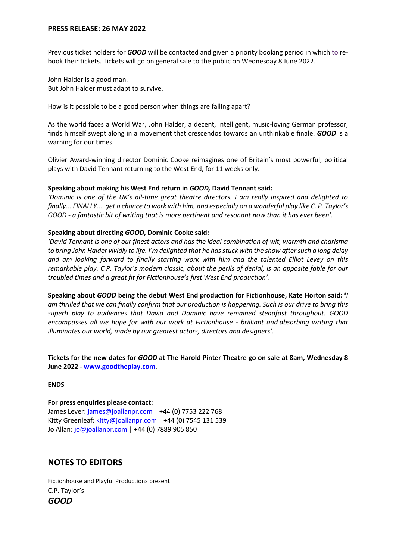Previous ticket holders for *GOOD* will be contacted and given a priority booking period in which to rebook their tickets. Tickets will go on general sale to the public on Wednesday 8 June 2022.

John Halder is a good man. But John Halder must adapt to survive.

How is it possible to be a good person when things are falling apart?

As the world faces a World War, John Halder, a decent, intelligent, music-loving German professor, finds himself swept along in a movement that crescendos towards an unthinkable finale. *GOOD* is a warning for our times.

Olivier Award-winning director Dominic Cooke reimagines one of Britain's most powerful, political plays with David Tennant returning to the West End, for 11 weeks only.

#### **Speaking about making his West End return in** *GOOD,* **David Tennant said:**

*'Dominic is one of the UK's all-time great theatre directors. I am really inspired and delighted to finally... FINALLY... get a chance to work with him, and especially on a wonderful play like C. P. Taylor's GOOD - a fantastic bit of writing that is more pertinent and resonant now than it has ever been'.*

#### **Speaking about directing** *GOOD***, Dominic Cooke said:**

*'David Tennant is one of our finest actors and has the ideal combination of wit, warmth and charisma to bring John Halder vividly to life. I'm delighted that he has stuck with the show after such a long delay and am looking forward to finally starting work with him and the talented Elliot Levey on this remarkable play. C.P. Taylor's modern classic, about the perils of denial, is an apposite fable for our troubled times and a great fit for Fictionhouse's first West End production'.* 

**Speaking about** *GOOD* **being the debut West End production for Fictionhouse, Kate Horton said: '***I am thrilled that we can finally confirm that our production is happening. Such is our drive to bring this superb play to audiences that David and Dominic have remained steadfast throughout. GOOD encompasses all we hope for with our work at Fictionhouse - brilliant and absorbing writing that illuminates our world, made by our greatest actors, directors and designers'.* 

**Tickets for the new dates for** *GOOD* **at The Harold Pinter Theatre go on sale at 8am, Wednesday 8 June 2022 - [www.goodtheplay.com](http://www.goodtheplay.com/)**.

## **ENDS**

**For press enquiries please contact:** James Lever[: james@joallanpr.com](mailto:james@joallanpr.com) | +44 (0) 7753 222 768 Kitty Greenleaf[: kitty@joallanpr.com](mailto:kitty@joallanpr.com) | +44 (0) 7545 131 539 Jo Allan[: jo@joallanpr.com](mailto:jo@joallanpr.com) | +44 (0) 7889 905 850

## **NOTES TO EDITORS**

Fictionhouse and Playful Productions present C.P. Taylor's *GOOD*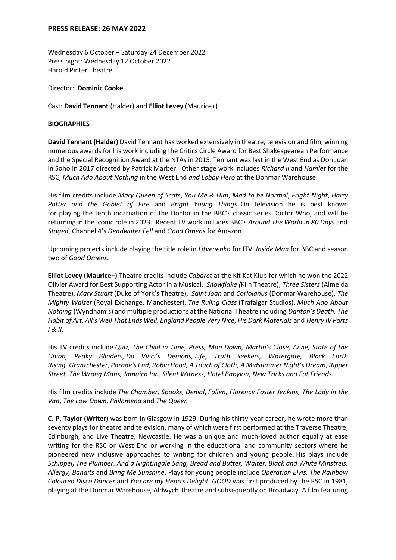Wednesday 6 October – Saturday 24 December 2022 Press night: Wednesday 12 October 2022 Harold Pinter Theatre

Director: **Dominic Cooke**

Cast: **David Tennant** (Halder) and **Elliot Levey** (Maurice+)

### **BIOGRAPHIES**

**David Tennant (Halder)** David Tennant has worked extensively in theatre, television and film, winning numerous awards for his work including the Critics Circle Award for Best Shakespearean Performance and the Special Recognition Award at the NTAs in 2015. Tennant was last in the West End as Don Juan in Soho in 2017 directed by Patrick Marber. Other stage work includes *Richard II* and *Hamlet* for the RSC, *Much Ado About Nothing* in the West End *and Lobby Hero* at the Donmar Warehouse.

His film credits include *Mary Queen of Scots*, *You Me & Him*, *Mad to be Normal*, *Fright Night*, *Harry Potter and the Goblet of Fire* and *Bright Young Things*. On television he is best known for playing the tenth incarnation of the Doctor in the BBC's classic series Doctor Who, and will be returning in the iconic role in 2023. Recent TV work includes BBC's *Around The World in 80 Days* and *Staged*, Channel 4's *Deadwater Fell* and *Good Omens* for Amazon.

Upcoming projects include playing the title role in *Litvenenko* for ITV, *Inside Man* for BBC and season two of *Good Omens*.

**Elliot Levey (Maurice+)** Theatre credits include *Cabaret* at the Kit Kat Klub for which he won the 2022 Olivier Award for Best Supporting Actor in a Musical, *Snowflake (*Kiln Theatre), *Three Sisters* (Almeida Theatre), *Mary Stuart* (Duke of York's Theatre), *Saint Joan* and *Coriolanus* (Donmar Warehouse), *The Mighty Walzer* (Royal Exchange, Manchester), *The Ruling Class* (Trafalgar Studios), *Much Ado About Nothing* (Wyndham's) and multiple productions at the National Theatre including *Danton's Death, The Habit of Art, All's Well That Ends Well, England People Very Nice, His Dark Materials* and *Henry IV Parts I & II.*

His TV credits include *Quiz, The Child in Time, Press, Man Down, Martin's Close, Anne, State of the Union, Peaky Blinders, Da Vinci's Demons, Life, Truth Seekers, Watergate, Black Earth Rising, Grantchester, Parade's End, Robin Hood, A Touch of Cloth, A Midsummer Night's Dream, Ripper Street, The Wrong Mans, Jamaica Inn, Silent Witness, Hotel Babylon, New Tricks and Fat Friends.*

His film credits include *The Chamber, Spooks, Denial*, *Fallen, Florence Foster Jenkins, The Lady in the Van*, *The Low Down*, *Philomena* and *The Queen*

**C. P. Taylor (Writer)** was born in Glasgow in 1929. During his thirty-year career, he wrote more than seventy plays for theatre and television, many of which were first performed at the Traverse Theatre, Edinburgh, and Live Theatre, Newcastle. He was a unique and much-loved author equally at ease writing for the RSC or West End or working in the educational and community sectors where he pioneered new inclusive approaches to writing for children and young people. His plays include *Schippel***,** *The Plumber, And a Nightingale Sang, Bread and Butter, Walter, Black and White Minstrels, Allergy, Bandits* and *Bring Me Sunshine*. Plays for young people include *Operation Elvis, The Rainbow Coloured Disco Dancer* and *You are my Hearts Delight. GOOD* was first produced by the RSC in 1981, playing at the Donmar Warehouse, Aldwych Theatre and subsequently on Broadway. A film featuring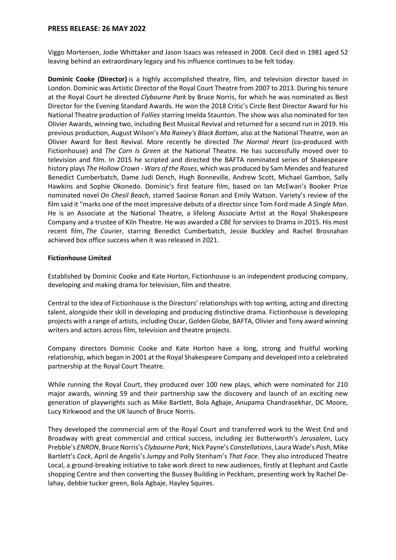Viggo Mortensen, Jodie Whittaker and Jason Isaacs was released in 2008. Cecil died in 1981 aged 52 leaving behind an extraordinary legacy and his influence continues to be felt today.

**Dominic Cooke (Director)** is a highly accomplished theatre, film, and television director based in London. Dominic was Artistic Director of the Royal Court Theatre from 2007 to 2013. During his tenure at the Royal Court he directed *Clybourne Park* by Bruce Norris, for which he was nominated as Best Director for the Evening Standard Awards. He won the 2018 Critic's Circle Best Director Award for his National Theatre production of *Follies* starring Imelda Staunton. The show was also nominated for ten Olivier Awards, winning two, including Best Musical Revival and returned for a second run in 2019. His previous production, August Wilson's *Ma Rainey's Black Bottom*, also at the National Theatre, won an Olivier Award for Best Revival. More recently he directed *The Normal Heart* (co-produced with Fictionhouse) and *The Corn Is Green* at the National Theatre. He has successfully moved over to television and film. In 2015 he scripted and directed the BAFTA nominated series of Shakespeare history plays *The Hollow Crown - Wars of the Roses*, which was produced by Sam Mendes and featured Benedict Cumberbatch, Dame Judi Dench, Hugh Bonneville, Andrew Scott, Michael Gambon, Sally Hawkins and Sophie Okonedo. Dominic's first feature film, based on Ian McEwan's Booker Prize nominated novel *On Chesil Beach*, starred Saoirse Ronan and Emily Watson. Variety's review of the film said it "marks one of the most impressive debuts of a director since Tom Ford made *A Single Man*. He is an Associate at the National Theatre, a lifelong Associate Artist at the Royal Shakespeare Company and a trustee of Kiln Theatre. He was awarded a CBE for services to Drama in 2015. His most recent film, *The Courier*, starring Benedict Cumberbatch, Jessie Buckley and Rachel Brosnahan achieved box office success when it was released in 2021.

## **Fictionhouse Limited**

Established by Dominic Cooke and Kate Horton, Fictionhouse is an independent producing company, developing and making drama for television, film and theatre.

Central to the idea of Fictionhouse is the Directors' relationships with top writing, acting and directing talent, alongside their skill in developing and producing distinctive drama. Fictionhouse is developing projects with a range of artists, including Oscar, Golden Globe, BAFTA, Olivier and Tony award winning writers and actors across film, television and theatre projects.

Company directors Dominic Cooke and Kate Horton have a long, strong and fruitful working relationship, which began in 2001 at the Royal Shakespeare Company and developed into a celebrated partnership at the Royal Court Theatre.

While running the Royal Court, they produced over 100 new plays, which were nominated for 210 major awards, winning 59 and their partnership saw the discovery and launch of an exciting new generation of playwrights such as Mike Bartlett, Bola Agbaje, Anupama Chandrasekhar, DC Moore, Lucy Kirkwood and the UK launch of Bruce Norris.

They developed the commercial arm of the Royal Court and transferred work to the West End and Broadway with great commercial and critical success, including Jez Butterworth's *Jerusalem*, Lucy Prebble's *ENRON*, Bruce Norris's *Clybourne Park*, Nick Payne's *Constellations*, Laura Wade's *Posh*, Mike Bartlett's *Cock*, April de Angelis's *Jumpy* and Polly Stenham's *That Face*. They also introduced Theatre Local, a ground-breaking initiative to take work direct to new audiences, firstly at Elephant and Castle shopping Centre and then converting the Bussey Building in Peckham, presenting work by Rachel Delahay, debbie tucker green, Bola Agbaje, Hayley Squires.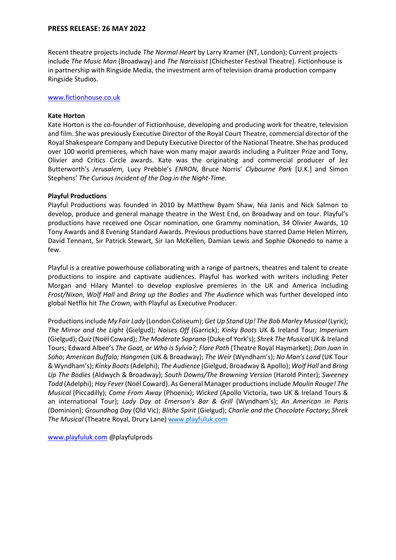Recent theatre projects include *The Normal Heart* by Larry Kramer (NT, London); Current projects include *The Music Man* (Broadway) and *The Narcissist* (Chichester Festival Theatre). Fictionhouse is in partnership with Ringside Media, the investment arm of television drama production company Ringside Studios.

#### [www.fictionhouse.co.uk](http://www.fictionhouse.co.uk/)

#### **Kate Horton**

Kate Horton is the co-founder of Fictionhouse, developing and producing work for theatre, television and film. She was previously Executive Director of the Royal Court Theatre, commercial director of the Royal Shakespeare Company and Deputy Executive Director of the National Theatre. She has produced over 100 world premieres, which have won many major awards including a Pulitzer Prize and Tony, Olivier and Critics Circle awards. Kate was the originating and commercial producer of Jez Butterworth's *Jerusalem,* Lucy Prebble's *ENRON,* Bruce Norris' *Clybourne Park* [U.K.] and Simon Stephens' *The Curious Incident of the Dog in the Night-Time.* 

#### **Playful Productions**

Playful Productions was founded in 2010 by Matthew Byam Shaw, Nia Janis and Nick Salmon to develop, produce and general manage theatre in the West End, on Broadway and on tour. Playful's productions have received one Oscar nomination, one Grammy nomination, 34 Olivier Awards, 10 Tony Awards and 8 Evening Standard Awards. Previous productions have starred Dame Helen Mirren, David Tennant, Sir Patrick Stewart, Sir Ian McKellen, Damian Lewis and Sophie Okonedo to name a few.  

Playful is a creative powerhouse collaborating with a range of partners, theatres and talent to create productions to inspire and captivate audiences. Playful has worked with writers including Peter Morgan and Hilary Mantel to develop explosive premieres in the UK and America including *Frost/Nixon*, *Wolf Hall* and *Bring up the Bodies* and *The Audience* which was further developed into global Netflix hit *The Crown*, with Playful as Executive Producer.  

Productions include *My Fair Lady* (London Coliseum); *Get Up Stand Up! The Bob Marley Musical* (Lyric); *The Mirror and the Light* (Gielgud); *Noises Off* (Garrick); *Kinky Boots* UK & Ireland Tour*; Imperium* (Gielgud); *Quiz*(Noël Coward); *The Moderate Soprano* (Duke of York's); *Shrek The Musical* UK & Ireland Tours; Edward Albee's *The Goat, or Who is Sylvia?; Flare Path* (Theatre Royal Haymarket); *Don Juan in Soho*; *American Buffalo; Hangmen* (UK & Broadway); *The Weir* (Wyndham's); *No Man's Land* (UK Tour & Wyndham's); *Kinky Boots* (Adelphi); *The Audience* (Gielgud, Broadway & Apollo); *Wolf Hall* and *Bring Up The Bodies* (Aldwych & Broadway); *South Downs/The Browning Version* (Harold Pinter); *Sweeney Todd* (Adelphi); *Hay Fever* (Noël Coward). As General Manager productions include *Moulin Rouge! The Musical* (Piccadilly); *Come From Away* (Phoenix); *Wicked* (Apollo Victoria, two UK & Ireland Tours & an international Tour); *Lady Day at Emerson's Bar & Grill* (Wyndham's); *An American in Paris*  (Dominion); *Groundhog Day* (Old Vic); *Blithe Spirit* (Gielgud); *Charlie and the Chocolate Factory*; *Shrek The Musical* (Theatre Royal, Drury Lane) [www.playfuluk.com](http://www.playfuluk.com/)

[www.playfuluk.com](http://www.playfuluk.com/) @playfulprods